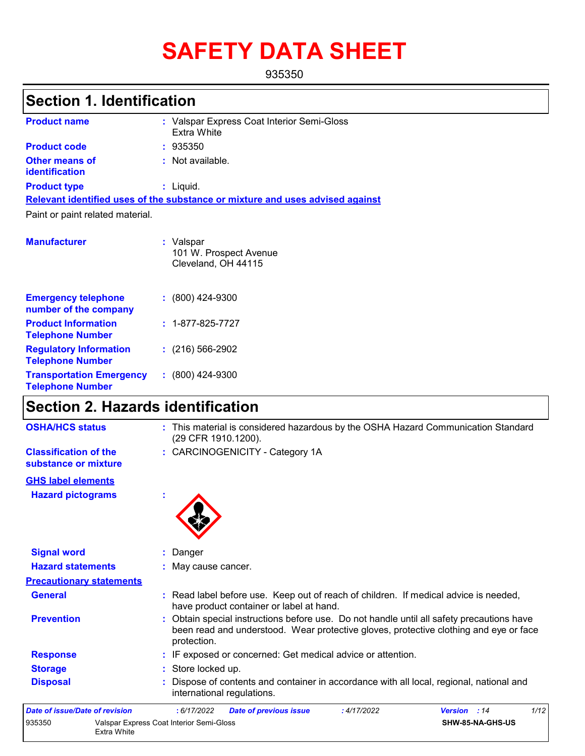# **SAFETY DATA SHEET**

935350

## **Section 1. Identification**

| <b>Product name</b>                     | : Valspar Express Coat Interior Semi-Gloss<br>Extra White                     |
|-----------------------------------------|-------------------------------------------------------------------------------|
| <b>Product code</b>                     | : 935350                                                                      |
| <b>Other means of</b><br>identification | : Not available.                                                              |
| <b>Product type</b>                     | : Liquid.                                                                     |
|                                         | Relevant identified uses of the substance or mixture and uses advised against |
| Paint or paint related material.        |                                                                               |
| <b>Manufacturer</b>                     | : Valspar<br>101 W. Prospect Avenue<br>Cleveland, OH 44115                    |
|                                         |                                                                               |

| <b>Emergency telephone</b><br>number of the company        | $: (800)$ 424-9300       |
|------------------------------------------------------------|--------------------------|
| <b>Product Information</b><br><b>Telephone Number</b>      | $: 1 - 877 - 825 - 7727$ |
| <b>Regulatory Information</b><br><b>Telephone Number</b>   | $(216)$ 566-2902         |
| <b>Transportation Emergency</b><br><b>Telephone Number</b> | $: (800)$ 424-9300       |

## **Section 2. Hazards identification**

| <b>OSHA/HCS status</b>                               | : This material is considered hazardous by the OSHA Hazard Communication Standard<br>(29 CFR 1910.1200).                                                                                          |
|------------------------------------------------------|---------------------------------------------------------------------------------------------------------------------------------------------------------------------------------------------------|
| <b>Classification of the</b><br>substance or mixture | : CARCINOGENICITY - Category 1A                                                                                                                                                                   |
| <b>GHS label elements</b>                            |                                                                                                                                                                                                   |
| <b>Hazard pictograms</b>                             |                                                                                                                                                                                                   |
| <b>Signal word</b>                                   | Danger                                                                                                                                                                                            |
| <b>Hazard statements</b>                             | May cause cancer.                                                                                                                                                                                 |
| <b>Precautionary statements</b>                      |                                                                                                                                                                                                   |
| <b>General</b>                                       | : Read label before use. Keep out of reach of children. If medical advice is needed,<br>have product container or label at hand.                                                                  |
| <b>Prevention</b>                                    | : Obtain special instructions before use. Do not handle until all safety precautions have<br>been read and understood. Wear protective gloves, protective clothing and eye or face<br>protection. |
| <b>Response</b>                                      | IF exposed or concerned: Get medical advice or attention.                                                                                                                                         |
| <b>Storage</b>                                       | : Store locked up.                                                                                                                                                                                |
| <b>Disposal</b>                                      | Dispose of contents and container in accordance with all local, regional, national and<br>international regulations.                                                                              |
| Date of issue/Date of revision                       | 1/12<br>: 4/17/2022<br>Version : 14<br>: 6/17/2022<br><b>Date of previous issue</b>                                                                                                               |
| 935350                                               | Valspar Express Coat Interior Semi-Gloss<br>SHW-85-NA-GHS-US                                                                                                                                      |

| te of issue/Date of revision |                                                         | .6/17/2022 | Date of previous issue | : 4/17/2022 | <b>Version</b> : 14     |  |
|------------------------------|---------------------------------------------------------|------------|------------------------|-------------|-------------------------|--|
| 5350                         | Valspar Express Coat Interior Semi-Gloss<br>Extra White |            |                        |             | <b>SHW-85-NA-GHS-US</b> |  |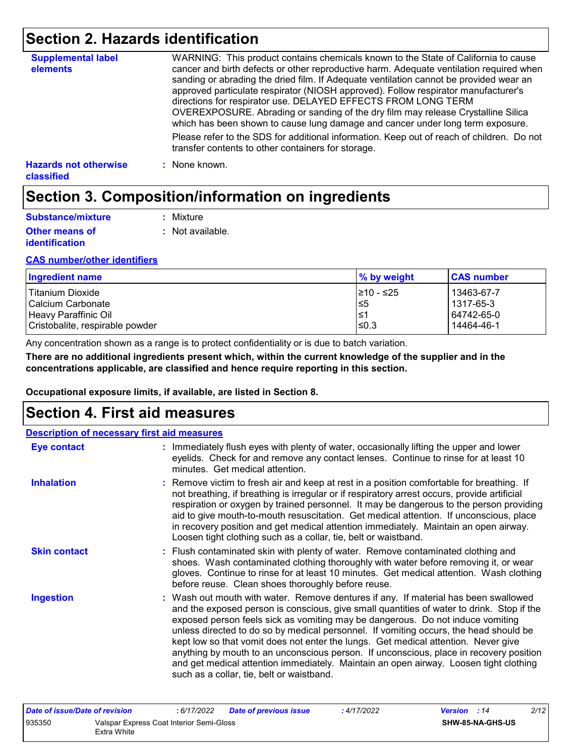## **Section 2. Hazards identification**

| <b>Supplemental label</b><br>elements      | WARNING: This product contains chemicals known to the State of California to cause<br>cancer and birth defects or other reproductive harm. Adequate ventilation required when<br>sanding or abrading the dried film. If Adequate ventilation cannot be provided wear an<br>approved particulate respirator (NIOSH approved). Follow respirator manufacturer's<br>directions for respirator use. DELAYED EFFECTS FROM LONG TERM<br>OVEREXPOSURE. Abrading or sanding of the dry film may release Crystalline Silica<br>which has been shown to cause lung damage and cancer under long term exposure. |
|--------------------------------------------|------------------------------------------------------------------------------------------------------------------------------------------------------------------------------------------------------------------------------------------------------------------------------------------------------------------------------------------------------------------------------------------------------------------------------------------------------------------------------------------------------------------------------------------------------------------------------------------------------|
|                                            | Please refer to the SDS for additional information. Keep out of reach of children. Do not<br>transfer contents to other containers for storage.                                                                                                                                                                                                                                                                                                                                                                                                                                                      |
| <b>Hazards not otherwise</b><br>classified | : None known.                                                                                                                                                                                                                                                                                                                                                                                                                                                                                                                                                                                        |

## **Section 3. Composition/information on ingredients**

| Substance/mixture                              | : Mixture        |
|------------------------------------------------|------------------|
| <b>Other means of</b><br><i>identification</i> | : Not available. |

#### **CAS number/other identifiers**

| Ingredient name                 | % by weight | <b>CAS number</b> |
|---------------------------------|-------------|-------------------|
| Titanium Dioxide                | 1≥10 - ≤25  | 13463-67-7        |
| l Calcium Carbonate             | 5≥          | l 1317-65-3       |
| Heavy Paraffinic Oil            | 1≥ا         | 64742-65-0        |
| Cristobalite, respirable powder | $\leq 0.3$  | 14464-46-1        |

Any concentration shown as a range is to protect confidentiality or is due to batch variation.

**There are no additional ingredients present which, within the current knowledge of the supplier and in the concentrations applicable, are classified and hence require reporting in this section.**

**Occupational exposure limits, if available, are listed in Section 8.**

### **Section 4. First aid measures**

| <b>Description of necessary first aid measures</b> |                                                                                                                                                                                                                                                                                                                                                                                                                                                                                                                                                                                                                                                                                   |
|----------------------------------------------------|-----------------------------------------------------------------------------------------------------------------------------------------------------------------------------------------------------------------------------------------------------------------------------------------------------------------------------------------------------------------------------------------------------------------------------------------------------------------------------------------------------------------------------------------------------------------------------------------------------------------------------------------------------------------------------------|
| <b>Eye contact</b>                                 | : Immediately flush eyes with plenty of water, occasionally lifting the upper and lower<br>eyelids. Check for and remove any contact lenses. Continue to rinse for at least 10<br>minutes. Get medical attention.                                                                                                                                                                                                                                                                                                                                                                                                                                                                 |
| <b>Inhalation</b>                                  | : Remove victim to fresh air and keep at rest in a position comfortable for breathing. If<br>not breathing, if breathing is irregular or if respiratory arrest occurs, provide artificial<br>respiration or oxygen by trained personnel. It may be dangerous to the person providing<br>aid to give mouth-to-mouth resuscitation. Get medical attention. If unconscious, place<br>in recovery position and get medical attention immediately. Maintain an open airway.<br>Loosen tight clothing such as a collar, tie, belt or waistband.                                                                                                                                         |
| <b>Skin contact</b>                                | : Flush contaminated skin with plenty of water. Remove contaminated clothing and<br>shoes. Wash contaminated clothing thoroughly with water before removing it, or wear<br>gloves. Continue to rinse for at least 10 minutes. Get medical attention. Wash clothing<br>before reuse. Clean shoes thoroughly before reuse.                                                                                                                                                                                                                                                                                                                                                          |
| <b>Ingestion</b>                                   | : Wash out mouth with water. Remove dentures if any. If material has been swallowed<br>and the exposed person is conscious, give small quantities of water to drink. Stop if the<br>exposed person feels sick as vomiting may be dangerous. Do not induce vomiting<br>unless directed to do so by medical personnel. If vomiting occurs, the head should be<br>kept low so that vomit does not enter the lungs. Get medical attention. Never give<br>anything by mouth to an unconscious person. If unconscious, place in recovery position<br>and get medical attention immediately. Maintain an open airway. Loosen tight clothing<br>such as a collar, tie, belt or waistband. |

| Date of issue/Date of revision |                                                         | : 6/17/2022 | <b>Date of previous issue</b> | : 4/17/2022 | <b>Version</b> : 14 |                         | 2/12 |
|--------------------------------|---------------------------------------------------------|-------------|-------------------------------|-------------|---------------------|-------------------------|------|
| 935350                         | Valspar Express Coat Interior Semi-Gloss<br>Extra White |             |                               |             |                     | <b>SHW-85-NA-GHS-US</b> |      |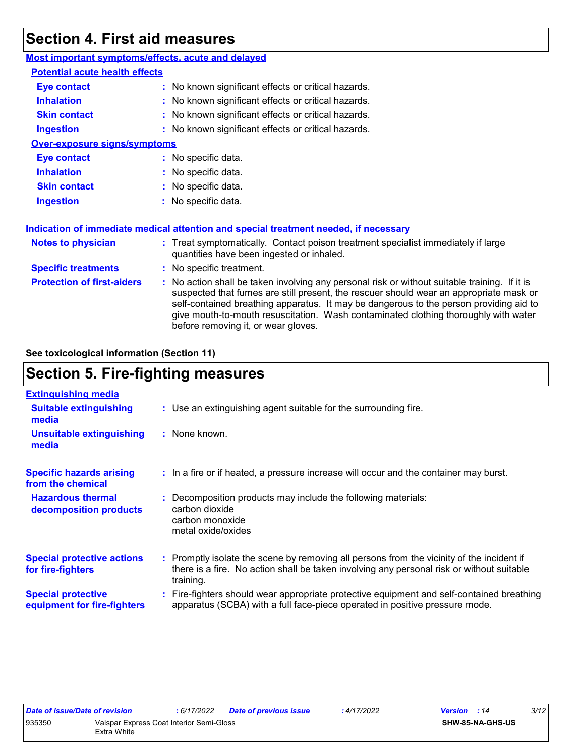## **Section 4. First aid measures**

| Most important symptoms/effects, acute and delayed |                                                                                                                                                                                                                                                                                                                                                                                                                 |
|----------------------------------------------------|-----------------------------------------------------------------------------------------------------------------------------------------------------------------------------------------------------------------------------------------------------------------------------------------------------------------------------------------------------------------------------------------------------------------|
| <b>Potential acute health effects</b>              |                                                                                                                                                                                                                                                                                                                                                                                                                 |
| <b>Eye contact</b>                                 | : No known significant effects or critical hazards.                                                                                                                                                                                                                                                                                                                                                             |
| <b>Inhalation</b>                                  | : No known significant effects or critical hazards.                                                                                                                                                                                                                                                                                                                                                             |
| <b>Skin contact</b>                                | : No known significant effects or critical hazards.                                                                                                                                                                                                                                                                                                                                                             |
| <b>Ingestion</b>                                   | : No known significant effects or critical hazards.                                                                                                                                                                                                                                                                                                                                                             |
| <b>Over-exposure signs/symptoms</b>                |                                                                                                                                                                                                                                                                                                                                                                                                                 |
| <b>Eye contact</b>                                 | : No specific data.                                                                                                                                                                                                                                                                                                                                                                                             |
| <b>Inhalation</b>                                  | : No specific data.                                                                                                                                                                                                                                                                                                                                                                                             |
| <b>Skin contact</b>                                | : No specific data.                                                                                                                                                                                                                                                                                                                                                                                             |
| <b>Ingestion</b>                                   | : No specific data.                                                                                                                                                                                                                                                                                                                                                                                             |
|                                                    | Indication of immediate medical attention and special treatment needed, if necessary                                                                                                                                                                                                                                                                                                                            |
| <b>Notes to physician</b>                          | : Treat symptomatically. Contact poison treatment specialist immediately if large<br>quantities have been ingested or inhaled.                                                                                                                                                                                                                                                                                  |
| <b>Specific treatments</b>                         | : No specific treatment.                                                                                                                                                                                                                                                                                                                                                                                        |
| <b>Protection of first-aiders</b>                  | : No action shall be taken involving any personal risk or without suitable training. If it is<br>suspected that fumes are still present, the rescuer should wear an appropriate mask or<br>self-contained breathing apparatus. It may be dangerous to the person providing aid to<br>give mouth-to-mouth resuscitation. Wash contaminated clothing thoroughly with water<br>before removing it, or wear gloves. |

**See toxicological information (Section 11)**

## **Section 5. Fire-fighting measures**

| <b>Extinguishing media</b>                               |                                                                                                                                                                                                     |
|----------------------------------------------------------|-----------------------------------------------------------------------------------------------------------------------------------------------------------------------------------------------------|
| <b>Suitable extinguishing</b><br>media                   | : Use an extinguishing agent suitable for the surrounding fire.                                                                                                                                     |
| <b>Unsuitable extinguishing</b><br>media                 | : None known.                                                                                                                                                                                       |
| <b>Specific hazards arising</b><br>from the chemical     | : In a fire or if heated, a pressure increase will occur and the container may burst.                                                                                                               |
| <b>Hazardous thermal</b><br>decomposition products       | Decomposition products may include the following materials:<br>carbon dioxide<br>carbon monoxide<br>metal oxide/oxides                                                                              |
| <b>Special protective actions</b><br>for fire-fighters   | : Promptly isolate the scene by removing all persons from the vicinity of the incident if<br>there is a fire. No action shall be taken involving any personal risk or without suitable<br>training. |
| <b>Special protective</b><br>equipment for fire-fighters | : Fire-fighters should wear appropriate protective equipment and self-contained breathing<br>apparatus (SCBA) with a full face-piece operated in positive pressure mode.                            |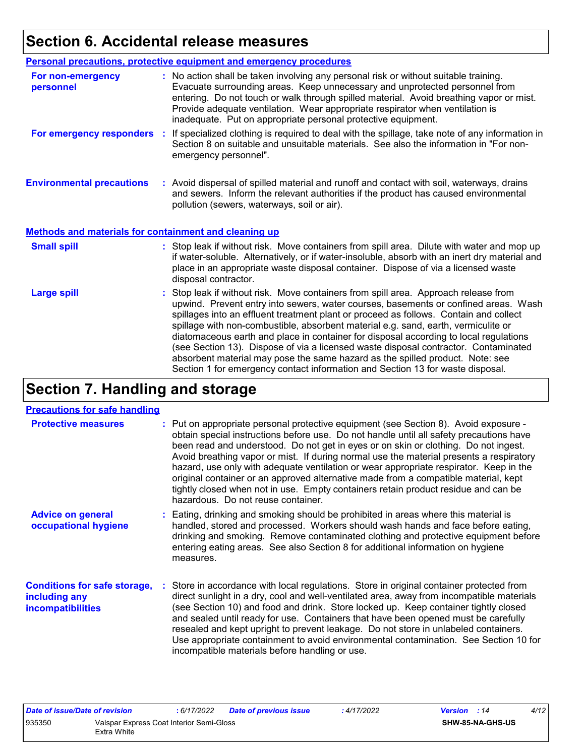## **Section 6. Accidental release measures**

|                                                              | <b>Personal precautions, protective equipment and emergency procedures</b>                                                                                                                                                                                                                                                                                                                                                                                                                                                                                                                                                                                                                                   |
|--------------------------------------------------------------|--------------------------------------------------------------------------------------------------------------------------------------------------------------------------------------------------------------------------------------------------------------------------------------------------------------------------------------------------------------------------------------------------------------------------------------------------------------------------------------------------------------------------------------------------------------------------------------------------------------------------------------------------------------------------------------------------------------|
| For non-emergency<br>personnel                               | : No action shall be taken involving any personal risk or without suitable training.<br>Evacuate surrounding areas. Keep unnecessary and unprotected personnel from<br>entering. Do not touch or walk through spilled material. Avoid breathing vapor or mist.<br>Provide adequate ventilation. Wear appropriate respirator when ventilation is<br>inadequate. Put on appropriate personal protective equipment.                                                                                                                                                                                                                                                                                             |
| For emergency responders                                     | : If specialized clothing is required to deal with the spillage, take note of any information in<br>Section 8 on suitable and unsuitable materials. See also the information in "For non-<br>emergency personnel".                                                                                                                                                                                                                                                                                                                                                                                                                                                                                           |
| <b>Environmental precautions</b>                             | : Avoid dispersal of spilled material and runoff and contact with soil, waterways, drains<br>and sewers. Inform the relevant authorities if the product has caused environmental<br>pollution (sewers, waterways, soil or air).                                                                                                                                                                                                                                                                                                                                                                                                                                                                              |
| <b>Methods and materials for containment and cleaning up</b> |                                                                                                                                                                                                                                                                                                                                                                                                                                                                                                                                                                                                                                                                                                              |
| <b>Small spill</b>                                           | : Stop leak if without risk. Move containers from spill area. Dilute with water and mop up<br>if water-soluble. Alternatively, or if water-insoluble, absorb with an inert dry material and<br>place in an appropriate waste disposal container. Dispose of via a licensed waste<br>disposal contractor.                                                                                                                                                                                                                                                                                                                                                                                                     |
| <b>Large spill</b>                                           | : Stop leak if without risk. Move containers from spill area. Approach release from<br>upwind. Prevent entry into sewers, water courses, basements or confined areas. Wash<br>spillages into an effluent treatment plant or proceed as follows. Contain and collect<br>spillage with non-combustible, absorbent material e.g. sand, earth, vermiculite or<br>diatomaceous earth and place in container for disposal according to local regulations<br>(see Section 13). Dispose of via a licensed waste disposal contractor. Contaminated<br>absorbent material may pose the same hazard as the spilled product. Note: see<br>Section 1 for emergency contact information and Section 13 for waste disposal. |

## **Section 7. Handling and storage**

#### **Precautions for safe handling**

| <b>Protective measures</b>                                                       | : Put on appropriate personal protective equipment (see Section 8). Avoid exposure -<br>obtain special instructions before use. Do not handle until all safety precautions have<br>been read and understood. Do not get in eyes or on skin or clothing. Do not ingest.<br>Avoid breathing vapor or mist. If during normal use the material presents a respiratory<br>hazard, use only with adequate ventilation or wear appropriate respirator. Keep in the<br>original container or an approved alternative made from a compatible material, kept<br>tightly closed when not in use. Empty containers retain product residue and can be<br>hazardous. Do not reuse container. |
|----------------------------------------------------------------------------------|--------------------------------------------------------------------------------------------------------------------------------------------------------------------------------------------------------------------------------------------------------------------------------------------------------------------------------------------------------------------------------------------------------------------------------------------------------------------------------------------------------------------------------------------------------------------------------------------------------------------------------------------------------------------------------|
| <b>Advice on general</b><br>occupational hygiene                                 | : Eating, drinking and smoking should be prohibited in areas where this material is<br>handled, stored and processed. Workers should wash hands and face before eating,<br>drinking and smoking. Remove contaminated clothing and protective equipment before<br>entering eating areas. See also Section 8 for additional information on hygiene<br>measures.                                                                                                                                                                                                                                                                                                                  |
| <b>Conditions for safe storage,</b><br>including any<br><i>incompatibilities</i> | : Store in accordance with local regulations. Store in original container protected from<br>direct sunlight in a dry, cool and well-ventilated area, away from incompatible materials<br>(see Section 10) and food and drink. Store locked up. Keep container tightly closed<br>and sealed until ready for use. Containers that have been opened must be carefully<br>resealed and kept upright to prevent leakage. Do not store in unlabeled containers.<br>Use appropriate containment to avoid environmental contamination. See Section 10 for<br>incompatible materials before handling or use.                                                                            |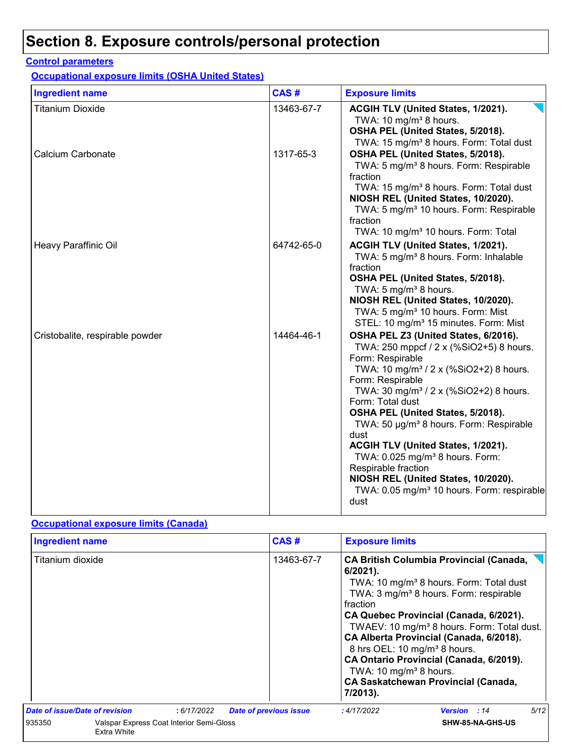## **Section 8. Exposure controls/personal protection**

#### **Control parameters**

**Occupational exposure limits (OSHA United States)**

| <b>Ingredient name</b>          | CAS#       | <b>Exposure limits</b>                                                                                                                                                                                                                                                                                                                                                                                                                                                                                                                                                           |
|---------------------------------|------------|----------------------------------------------------------------------------------------------------------------------------------------------------------------------------------------------------------------------------------------------------------------------------------------------------------------------------------------------------------------------------------------------------------------------------------------------------------------------------------------------------------------------------------------------------------------------------------|
| <b>Titanium Dioxide</b>         | 13463-67-7 | ACGIH TLV (United States, 1/2021).<br>TWA: 10 mg/m <sup>3</sup> 8 hours.<br>OSHA PEL (United States, 5/2018).<br>TWA: 15 mg/m <sup>3</sup> 8 hours. Form: Total dust                                                                                                                                                                                                                                                                                                                                                                                                             |
| Calcium Carbonate               | 1317-65-3  | OSHA PEL (United States, 5/2018).<br>TWA: 5 mg/m <sup>3</sup> 8 hours. Form: Respirable<br>fraction<br>TWA: 15 mg/m <sup>3</sup> 8 hours. Form: Total dust<br>NIOSH REL (United States, 10/2020).<br>TWA: 5 mg/m <sup>3</sup> 10 hours. Form: Respirable<br>fraction<br>TWA: 10 mg/m <sup>3</sup> 10 hours. Form: Total                                                                                                                                                                                                                                                          |
| Heavy Paraffinic Oil            | 64742-65-0 | ACGIH TLV (United States, 1/2021).<br>TWA: 5 mg/m <sup>3</sup> 8 hours. Form: Inhalable<br>fraction<br>OSHA PEL (United States, 5/2018).<br>TWA: 5 mg/m <sup>3</sup> 8 hours.<br>NIOSH REL (United States, 10/2020).<br>TWA: 5 mg/m <sup>3</sup> 10 hours. Form: Mist<br>STEL: 10 mg/m <sup>3</sup> 15 minutes. Form: Mist                                                                                                                                                                                                                                                       |
| Cristobalite, respirable powder | 14464-46-1 | OSHA PEL Z3 (United States, 6/2016).<br>TWA: 250 mppcf / 2 x (%SiO2+5) 8 hours.<br>Form: Respirable<br>TWA: 10 mg/m <sup>3</sup> / 2 x (%SiO2+2) 8 hours.<br>Form: Respirable<br>TWA: 30 mg/m <sup>3</sup> / 2 x (%SiO2+2) 8 hours.<br>Form: Total dust<br>OSHA PEL (United States, 5/2018).<br>TWA: 50 µg/m <sup>3</sup> 8 hours. Form: Respirable<br>dust<br>ACGIH TLV (United States, 1/2021).<br>TWA: 0.025 mg/m <sup>3</sup> 8 hours. Form:<br>Respirable fraction<br>NIOSH REL (United States, 10/2020).<br>TWA: 0.05 mg/m <sup>3</sup> 10 hours. Form: respirable<br>dust |

#### **Occupational exposure limits (Canada)**

|        |                                                                                                                             |  |            | CAS#                                                                                                                  | <b>Exposure limits</b>                                                                                                                                                                                                                                                                                                                                                                              |                         |      |  |
|--------|-----------------------------------------------------------------------------------------------------------------------------|--|------------|-----------------------------------------------------------------------------------------------------------------------|-----------------------------------------------------------------------------------------------------------------------------------------------------------------------------------------------------------------------------------------------------------------------------------------------------------------------------------------------------------------------------------------------------|-------------------------|------|--|
|        | <b>Ingredient name</b><br>Titanium dioxide<br>Date of issue/Date of revision<br>:6/17/2022<br><b>Date of previous issue</b> |  | 13463-67-7 | $6/2021$ ).<br>fraction<br>8 hrs OEL: 10 mg/m <sup>3</sup> 8 hours.<br>TWA: 10 mg/m <sup>3</sup> 8 hours.<br>7/2013). | <b>CA British Columbia Provincial (Canada,</b><br>TWA: 10 mg/m <sup>3</sup> 8 hours. Form: Total dust<br>TWA: 3 mg/m <sup>3</sup> 8 hours. Form: respirable<br>CA Quebec Provincial (Canada, 6/2021).<br>TWAEV: 10 mg/m <sup>3</sup> 8 hours. Form: Total dust.<br>CA Alberta Provincial (Canada, 6/2018).<br>CA Ontario Provincial (Canada, 6/2019).<br><b>CA Saskatchewan Provincial (Canada,</b> |                         |      |  |
|        |                                                                                                                             |  |            |                                                                                                                       | : 4/17/2022                                                                                                                                                                                                                                                                                                                                                                                         | <b>Version</b> : 14     | 5/12 |  |
| 935350 | Valspar Express Coat Interior Semi-Gloss<br>Extra White                                                                     |  |            |                                                                                                                       |                                                                                                                                                                                                                                                                                                                                                                                                     | <b>SHW-85-NA-GHS-US</b> |      |  |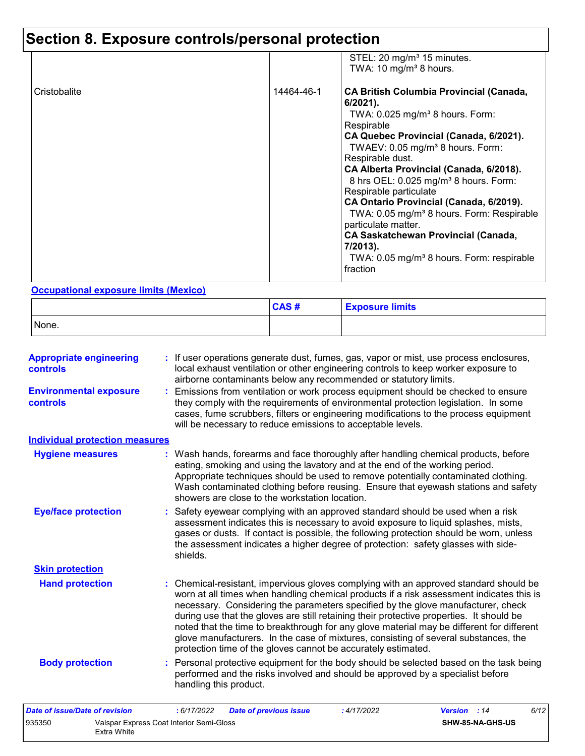## **Section 8. Exposure controls/personal protection**

|              |            | STEL: 20 mg/m <sup>3</sup> 15 minutes.<br>TWA: 10 mg/m <sup>3</sup> 8 hours.                                                                                                                                                                                                                                                                                                                                                                                                                                                                                                                                                   |
|--------------|------------|--------------------------------------------------------------------------------------------------------------------------------------------------------------------------------------------------------------------------------------------------------------------------------------------------------------------------------------------------------------------------------------------------------------------------------------------------------------------------------------------------------------------------------------------------------------------------------------------------------------------------------|
| Cristobalite | 14464-46-1 | <b>CA British Columbia Provincial (Canada,</b><br>$6/2021$ ).<br>TWA: $0.025$ mg/m <sup>3</sup> 8 hours. Form:<br>Respirable<br>CA Quebec Provincial (Canada, 6/2021).<br>TWAEV: 0.05 mg/m <sup>3</sup> 8 hours. Form:<br>Respirable dust.<br>CA Alberta Provincial (Canada, 6/2018).<br>8 hrs OEL: 0.025 mg/m <sup>3</sup> 8 hours. Form:<br>Respirable particulate<br>CA Ontario Provincial (Canada, 6/2019).<br>TWA: 0.05 mg/m <sup>3</sup> 8 hours. Form: Respirable<br>particulate matter.<br><b>CA Saskatchewan Provincial (Canada,</b><br>7/2013).<br>TWA: 0.05 mg/m <sup>3</sup> 8 hours. Form: respirable<br>fraction |

#### **Occupational exposure limits (Mexico)**

Extra White

|       | CAS# | <b>Exposure limits</b> |
|-------|------|------------------------|
| None. |      |                        |

| <b>Appropriate engineering</b><br>controls | : If user operations generate dust, fumes, gas, vapor or mist, use process enclosures,<br>local exhaust ventilation or other engineering controls to keep worker exposure to<br>airborne contaminants below any recommended or statutory limits.                                                                                                                                                                                                                                                                                                                                                                       |
|--------------------------------------------|------------------------------------------------------------------------------------------------------------------------------------------------------------------------------------------------------------------------------------------------------------------------------------------------------------------------------------------------------------------------------------------------------------------------------------------------------------------------------------------------------------------------------------------------------------------------------------------------------------------------|
| <b>Environmental exposure</b><br>controls  | : Emissions from ventilation or work process equipment should be checked to ensure<br>they comply with the requirements of environmental protection legislation. In some<br>cases, fume scrubbers, filters or engineering modifications to the process equipment<br>will be necessary to reduce emissions to acceptable levels.                                                                                                                                                                                                                                                                                        |
| <b>Individual protection measures</b>      |                                                                                                                                                                                                                                                                                                                                                                                                                                                                                                                                                                                                                        |
| <b>Hygiene measures</b>                    | : Wash hands, forearms and face thoroughly after handling chemical products, before<br>eating, smoking and using the lavatory and at the end of the working period.<br>Appropriate techniques should be used to remove potentially contaminated clothing.<br>Wash contaminated clothing before reusing. Ensure that eyewash stations and safety<br>showers are close to the workstation location.                                                                                                                                                                                                                      |
| <b>Eye/face protection</b>                 | : Safety eyewear complying with an approved standard should be used when a risk<br>assessment indicates this is necessary to avoid exposure to liquid splashes, mists,<br>gases or dusts. If contact is possible, the following protection should be worn, unless<br>the assessment indicates a higher degree of protection: safety glasses with side-<br>shields.                                                                                                                                                                                                                                                     |
| <b>Skin protection</b>                     |                                                                                                                                                                                                                                                                                                                                                                                                                                                                                                                                                                                                                        |
| <b>Hand protection</b>                     | : Chemical-resistant, impervious gloves complying with an approved standard should be<br>worn at all times when handling chemical products if a risk assessment indicates this is<br>necessary. Considering the parameters specified by the glove manufacturer, check<br>during use that the gloves are still retaining their protective properties. It should be<br>noted that the time to breakthrough for any glove material may be different for different<br>glove manufacturers. In the case of mixtures, consisting of several substances, the<br>protection time of the gloves cannot be accurately estimated. |
| <b>Body protection</b>                     | : Personal protective equipment for the body should be selected based on the task being<br>performed and the risks involved and should be approved by a specialist before<br>handling this product.                                                                                                                                                                                                                                                                                                                                                                                                                    |
| <b>Date of issue/Date of revision</b>      | : 6/17/2022<br><b>Date of previous issue</b><br>:4/17/2022<br>Version : 14<br>6/12                                                                                                                                                                                                                                                                                                                                                                                                                                                                                                                                     |
| 935350                                     | Valspar Express Coat Interior Semi-Gloss<br>SHW-85-NA-GHS-US                                                                                                                                                                                                                                                                                                                                                                                                                                                                                                                                                           |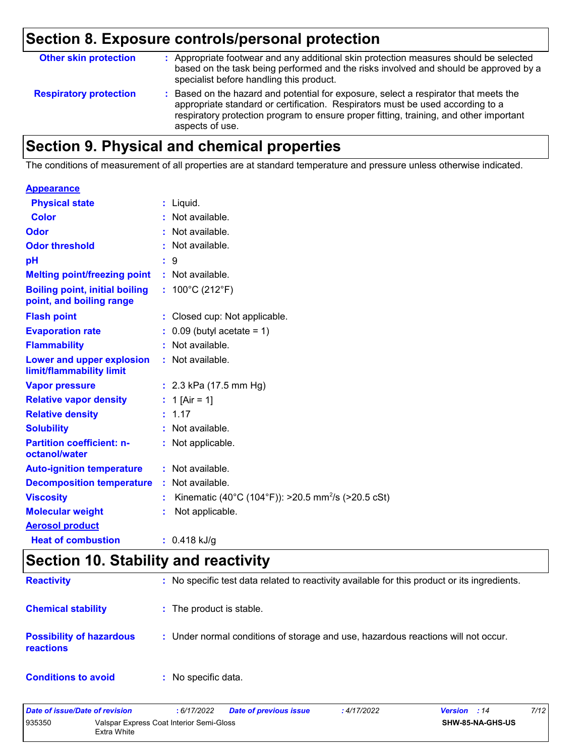## **Section 8. Exposure controls/personal protection**

| <b>Other skin protection</b>  | : Appropriate footwear and any additional skin protection measures should be selected<br>based on the task being performed and the risks involved and should be approved by a<br>specialist before handling this product.                                                           |
|-------------------------------|-------------------------------------------------------------------------------------------------------------------------------------------------------------------------------------------------------------------------------------------------------------------------------------|
| <b>Respiratory protection</b> | : Based on the hazard and potential for exposure, select a respirator that meets the<br>appropriate standard or certification. Respirators must be used according to a<br>respiratory protection program to ensure proper fitting, training, and other important<br>aspects of use. |

## **Section 9. Physical and chemical properties**

The conditions of measurement of all properties are at standard temperature and pressure unless otherwise indicated.

| <b>Appearance</b>                                                 |                                                                      |
|-------------------------------------------------------------------|----------------------------------------------------------------------|
| <b>Physical state</b>                                             | $:$ Liquid.                                                          |
| <b>Color</b>                                                      | : Not available.                                                     |
| Odor                                                              | : Not available.                                                     |
| <b>Odor threshold</b>                                             | : Not available.                                                     |
| pH                                                                | 9                                                                    |
| <b>Melting point/freezing point</b>                               | : Not available.                                                     |
| <b>Boiling point, initial boiling</b><br>point, and boiling range | : $100^{\circ}$ C (212 $^{\circ}$ F)                                 |
| <b>Flash point</b>                                                | : Closed cup: Not applicable.                                        |
| <b>Evaporation rate</b>                                           | $0.09$ (butyl acetate = 1)                                           |
| <b>Flammability</b>                                               | : Not available.                                                     |
| Lower and upper explosion<br>limit/flammability limit             | Not available.<br>÷.                                                 |
| <b>Vapor pressure</b>                                             | : $2.3$ kPa (17.5 mm Hg)                                             |
| <b>Relative vapor density</b>                                     | : 1 [Air = 1]                                                        |
| <b>Relative density</b>                                           | : 1.17                                                               |
| <b>Solubility</b>                                                 | Not available.                                                       |
| <b>Partition coefficient: n-</b><br>octanol/water                 | Not applicable.<br>÷.                                                |
| <b>Auto-ignition temperature</b>                                  | : Not available.                                                     |
| <b>Decomposition temperature</b>                                  | Not available.<br>÷.                                                 |
| <b>Viscosity</b>                                                  | Kinematic (40°C (104°F)): >20.5 mm <sup>2</sup> /s (>20.5 cSt)<br>÷. |
| <b>Molecular weight</b>                                           | Not applicable.                                                      |
| <b>Aerosol product</b>                                            |                                                                      |
| <b>Heat of combustion</b>                                         | $: 0.418$ kJ/g                                                       |

## **Section 10. Stability and reactivity**

| <b>Reactivity</b>                            | : No specific test data related to reactivity available for this product or its ingredients. |
|----------------------------------------------|----------------------------------------------------------------------------------------------|
| <b>Chemical stability</b>                    | : The product is stable.                                                                     |
| <b>Possibility of hazardous</b><br>reactions | : Under normal conditions of storage and use, hazardous reactions will not occur.            |
| <b>Conditions to avoid</b>                   | : No specific data.                                                                          |

| Date of issue/Date of revision |                                                         | 6/17/2022 | <b>Date of previous issue</b> | : 4/17/2022 | <b>Version</b> : 14 | 7/12 |
|--------------------------------|---------------------------------------------------------|-----------|-------------------------------|-------------|---------------------|------|
| 935350                         | Valspar Express Coat Interior Semi-Gloss<br>Extra White |           |                               |             | SHW-85-NA-GHS-US    |      |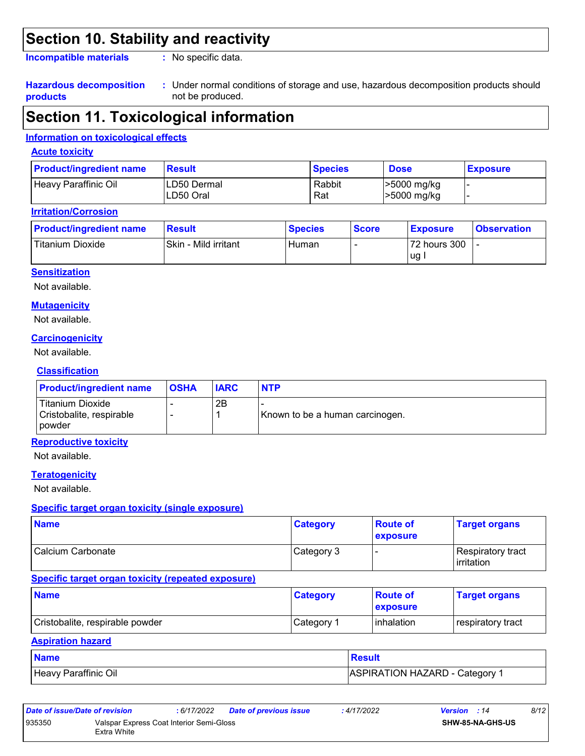## **Section 10. Stability and reactivity**

**Incompatible materials :**

: No specific data.

#### **Hazardous decomposition products**

Under normal conditions of storage and use, hazardous decomposition products should **:** not be produced.

## **Section 11. Toxicological information**

#### **Information on toxicological effects**

#### **Acute toxicity**

| <b>Product/ingredient name</b> | <b>Result</b>            | <b>Species</b> | <b>Dose</b>                      | <b>Exposure</b> |
|--------------------------------|--------------------------|----------------|----------------------------------|-----------------|
| Heavy Paraffinic Oil           | LD50 Dermal<br>LD50 Oral | Rabbit<br>Rat  | >5000 mg/kg<br>$\geq 5000$ mg/kg |                 |

#### **Irritation/Corrosion**

| <b>Product/ingredient name</b> | <b>Result</b>        | <b>Species</b> | <b>Score</b> | <b>Exposure</b>    | <b>Observation</b> |
|--------------------------------|----------------------|----------------|--------------|--------------------|--------------------|
| Titanium Dioxide               | Skin - Mild irritant | Human          |              | 72 hours 300<br>ug |                    |

#### **Sensitization**

Not available.

#### **Mutagenicity**

Not available.

#### **Carcinogenicity**

Not available.

#### **Classification**

| <b>Product/ingredient name</b>                                | <b>OSHA</b> | <b>IARC</b> | <b>NTP</b>                      |
|---------------------------------------------------------------|-------------|-------------|---------------------------------|
| Titanium Dioxide<br>Cristobalite, respirable<br><b>powder</b> |             | 2B          | Known to be a human carcinogen. |

#### **Reproductive toxicity**

Not available.

#### **Teratogenicity**

Not available.

#### **Specific target organ toxicity (single exposure)**

| <b>Name</b>       | <b>Category</b> | <b>Route of</b><br><b>exposure</b> | <b>Target organs</b>                            |
|-------------------|-----------------|------------------------------------|-------------------------------------------------|
| Calcium Carbonate | Category 3      |                                    | <b>Respiratory tract</b><br><b>l</b> irritation |

#### **Specific target organ toxicity (repeated exposure)**

| <b>Name</b>                     | <b>Category</b>        | <b>Route of</b><br><b>exposure</b> | <b>Target organs</b> |
|---------------------------------|------------------------|------------------------------------|----------------------|
| Cristobalite, respirable powder | ⊩Category <sup>≁</sup> | <b>l</b> inhalation                | respiratory tract    |

#### **Aspiration hazard**

| <b>Name</b>          | <b>Result</b>                |
|----------------------|------------------------------|
| Heavy Paraffinic Oil | ASPIRATION HAZARD - Category |

| Date of issue/Date of revision |                                                         | : 6/17/2022 | <b>Date of previous issue</b> | : 4/17/2022 | <b>Version</b> : 14     | 8/12 |
|--------------------------------|---------------------------------------------------------|-------------|-------------------------------|-------------|-------------------------|------|
| 935350                         | Valspar Express Coat Interior Semi-Gloss<br>Extra White |             |                               |             | <b>SHW-85-NA-GHS-US</b> |      |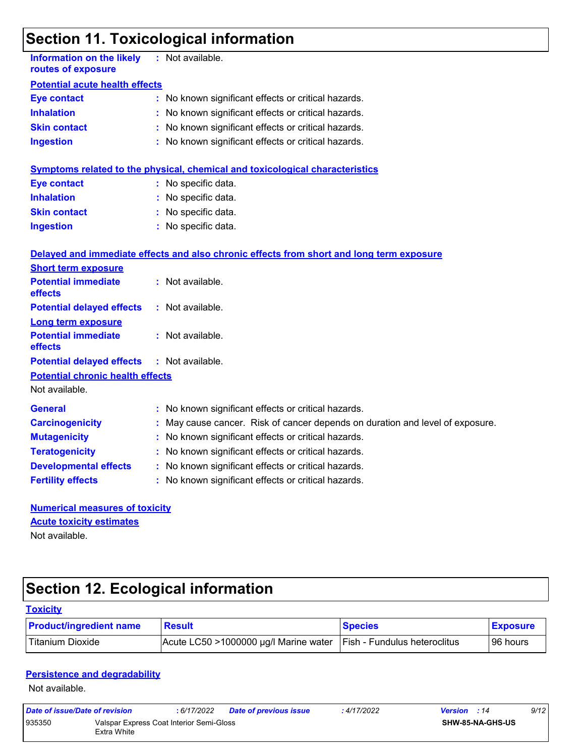## **Section 11. Toxicological information**

| <b>Information on the likely</b><br>routes of exposure    |  | : Not available.                                                                         |  |  |  |  |  |
|-----------------------------------------------------------|--|------------------------------------------------------------------------------------------|--|--|--|--|--|
| <b>Potential acute health effects</b>                     |  |                                                                                          |  |  |  |  |  |
| <b>Eye contact</b>                                        |  | : No known significant effects or critical hazards.                                      |  |  |  |  |  |
| <b>Inhalation</b>                                         |  | : No known significant effects or critical hazards.                                      |  |  |  |  |  |
| <b>Skin contact</b>                                       |  | No known significant effects or critical hazards.                                        |  |  |  |  |  |
| <b>Ingestion</b>                                          |  | : No known significant effects or critical hazards.                                      |  |  |  |  |  |
|                                                           |  | <b>Symptoms related to the physical, chemical and toxicological characteristics</b>      |  |  |  |  |  |
| <b>Eye contact</b>                                        |  | : No specific data.                                                                      |  |  |  |  |  |
| <b>Inhalation</b>                                         |  | : No specific data.                                                                      |  |  |  |  |  |
| <b>Skin contact</b>                                       |  | : No specific data.                                                                      |  |  |  |  |  |
| <b>Ingestion</b>                                          |  | : No specific data.                                                                      |  |  |  |  |  |
|                                                           |  | Delayed and immediate effects and also chronic effects from short and long term exposure |  |  |  |  |  |
| <b>Short term exposure</b>                                |  |                                                                                          |  |  |  |  |  |
| <b>Potential immediate</b><br>effects                     |  | : Not available.                                                                         |  |  |  |  |  |
| <b>Potential delayed effects</b>                          |  | : Not available.                                                                         |  |  |  |  |  |
| <b>Long term exposure</b>                                 |  |                                                                                          |  |  |  |  |  |
| <b>Potential immediate</b><br>effects                     |  | : Not available.                                                                         |  |  |  |  |  |
| <b>Potential delayed effects</b>                          |  | : Not available.                                                                         |  |  |  |  |  |
| <b>Potential chronic health effects</b><br>Not available. |  |                                                                                          |  |  |  |  |  |
| <b>General</b>                                            |  | : No known significant effects or critical hazards.                                      |  |  |  |  |  |
| <b>Carcinogenicity</b>                                    |  | : May cause cancer. Risk of cancer depends on duration and level of exposure.            |  |  |  |  |  |
| <b>Mutagenicity</b>                                       |  | No known significant effects or critical hazards.                                        |  |  |  |  |  |
| <b>Teratogenicity</b>                                     |  | : No known significant effects or critical hazards.                                      |  |  |  |  |  |
| <b>Developmental effects</b>                              |  | : No known significant effects or critical hazards.                                      |  |  |  |  |  |
| <b>Fertility effects</b>                                  |  | : No known significant effects or critical hazards.                                      |  |  |  |  |  |
| <b>Numerical measures of toxicity</b>                     |  |                                                                                          |  |  |  |  |  |
| <b>Acute toxicity estimates</b>                           |  |                                                                                          |  |  |  |  |  |
| Not available.                                            |  |                                                                                          |  |  |  |  |  |

# **Section 12. Ecological information**

| <b>Toxicity</b>                |                                       |                                     |                 |
|--------------------------------|---------------------------------------|-------------------------------------|-----------------|
| <b>Product/ingredient name</b> | <b>Result</b>                         | <b>Species</b>                      | <b>Exposure</b> |
| Titanium Dioxide               | Acute LC50 >1000000 µg/l Marine water | <b>Fish - Fundulus heteroclitus</b> | 96 hours        |

#### **Persistence and degradability**

Not available.

| Date of issue/Date of revision |                                                         | : 6/17/2022 | <b>Date of previous issue</b> | : 4/17/2022 | <b>Version</b> : 14 |                         | 9/12 |
|--------------------------------|---------------------------------------------------------|-------------|-------------------------------|-------------|---------------------|-------------------------|------|
| 935350                         | Valspar Express Coat Interior Semi-Gloss<br>Extra White |             |                               |             |                     | <b>SHW-85-NA-GHS-US</b> |      |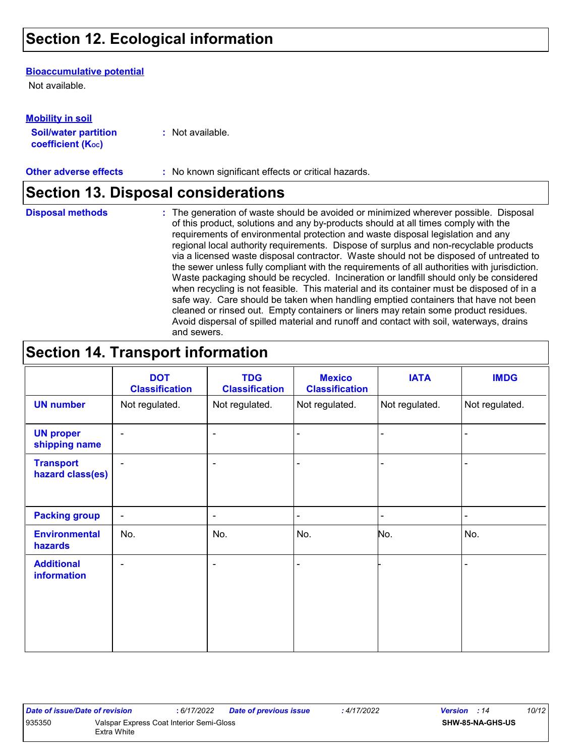## **Section 12. Ecological information**

#### **Bioaccumulative potential**

Not available.

**Mobility in soil**

| IVIVIJILY III JVII          |                  |
|-----------------------------|------------------|
| <b>Soil/water partition</b> | : Not available. |
| <b>coefficient (Koc)</b>    |                  |

**Other adverse effects** : No known significant effects or critical hazards.

### **Section 13. Disposal considerations**

**Disposal methods :**

The generation of waste should be avoided or minimized wherever possible. Disposal of this product, solutions and any by-products should at all times comply with the requirements of environmental protection and waste disposal legislation and any regional local authority requirements. Dispose of surplus and non-recyclable products via a licensed waste disposal contractor. Waste should not be disposed of untreated to the sewer unless fully compliant with the requirements of all authorities with jurisdiction. Waste packaging should be recycled. Incineration or landfill should only be considered when recycling is not feasible. This material and its container must be disposed of in a safe way. Care should be taken when handling emptied containers that have not been cleaned or rinsed out. Empty containers or liners may retain some product residues. Avoid dispersal of spilled material and runoff and contact with soil, waterways, drains and sewers.

## **Section 14. Transport information**

|                                         | <b>DOT</b><br><b>Classification</b> | <b>TDG</b><br><b>Classification</b> | <b>Mexico</b><br><b>Classification</b> | <b>IATA</b>    | <b>IMDG</b>    |
|-----------------------------------------|-------------------------------------|-------------------------------------|----------------------------------------|----------------|----------------|
| <b>UN number</b>                        | Not regulated.                      | Not regulated.                      | Not regulated.                         | Not regulated. | Not regulated. |
| <b>UN proper</b><br>shipping name       | $\blacksquare$                      | ۰                                   | ÷                                      |                |                |
| <b>Transport</b><br>hazard class(es)    | $\blacksquare$                      | ۰                                   | ä,                                     |                |                |
| <b>Packing group</b>                    | $\blacksquare$                      | ۰                                   | $\overline{\phantom{0}}$               |                | $\blacksquare$ |
| <b>Environmental</b><br>hazards         | No.                                 | No.                                 | No.                                    | No.            | No.            |
| <b>Additional</b><br><b>information</b> | $\blacksquare$                      | ۰                                   | $\blacksquare$                         |                |                |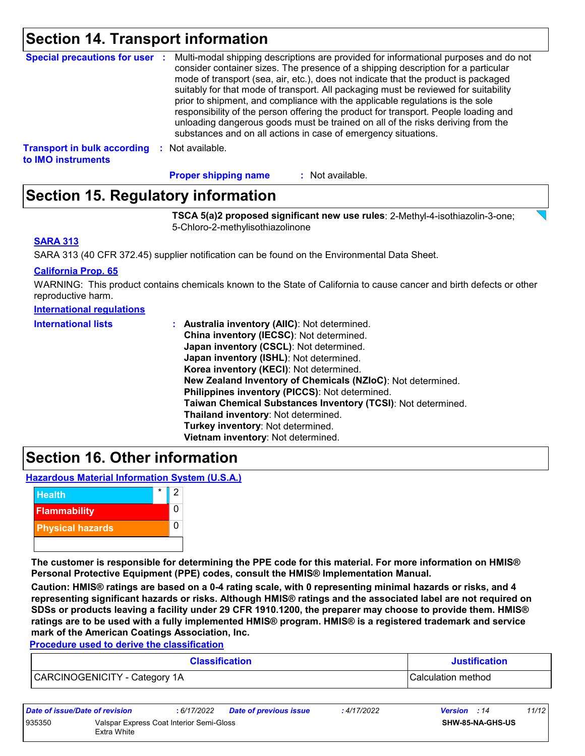### **Section 14. Transport information**

| Special precautions for user :                           |            | Multi-modal shipping descriptions are provided for informational purposes and do not<br>consider container sizes. The presence of a shipping description for a particular<br>mode of transport (sea, air, etc.), does not indicate that the product is packaged<br>suitably for that mode of transport. All packaging must be reviewed for suitability<br>prior to shipment, and compliance with the applicable regulations is the sole<br>responsibility of the person offering the product for transport. People loading and<br>unloading dangerous goods must be trained on all of the risks deriving from the<br>substances and on all actions in case of emergency situations. |
|----------------------------------------------------------|------------|-------------------------------------------------------------------------------------------------------------------------------------------------------------------------------------------------------------------------------------------------------------------------------------------------------------------------------------------------------------------------------------------------------------------------------------------------------------------------------------------------------------------------------------------------------------------------------------------------------------------------------------------------------------------------------------|
| <b>Transport in bulk according</b><br>to IMO instruments | <b>COL</b> | Not available.                                                                                                                                                                                                                                                                                                                                                                                                                                                                                                                                                                                                                                                                      |

: Not available. **Proper shipping name :**

## **Section 15. Regulatory information**

**TSCA 5(a)2 proposed significant new use rules**: 2-Methyl-4-isothiazolin-3-one; 5-Chloro-2-methylisothiazolinone

#### **SARA 313**

SARA 313 (40 CFR 372.45) supplier notification can be found on the Environmental Data Sheet.

#### **California Prop. 65**

WARNING: This product contains chemicals known to the State of California to cause cancer and birth defects or other reproductive harm.

#### **International regulations**

| <b>International lists</b> | : Australia inventory (AIIC): Not determined.                |
|----------------------------|--------------------------------------------------------------|
|                            | China inventory (IECSC): Not determined.                     |
|                            | Japan inventory (CSCL): Not determined.                      |
|                            | Japan inventory (ISHL): Not determined.                      |
|                            | Korea inventory (KECI): Not determined.                      |
|                            | New Zealand Inventory of Chemicals (NZIoC): Not determined.  |
|                            | Philippines inventory (PICCS): Not determined.               |
|                            | Taiwan Chemical Substances Inventory (TCSI): Not determined. |
|                            | Thailand inventory: Not determined.                          |
|                            | Turkey inventory: Not determined.                            |
|                            | Vietnam inventory: Not determined.                           |

### **Section 16. Other information**

**Hazardous Material Information System (U.S.A.)**



**The customer is responsible for determining the PPE code for this material. For more information on HMIS® Personal Protective Equipment (PPE) codes, consult the HMIS® Implementation Manual.**

**Caution: HMIS® ratings are based on a 0-4 rating scale, with 0 representing minimal hazards or risks, and 4 representing significant hazards or risks. Although HMIS® ratings and the associated label are not required on SDSs or products leaving a facility under 29 CFR 1910.1200, the preparer may choose to provide them. HMIS® ratings are to be used with a fully implemented HMIS® program. HMIS® is a registered trademark and service mark of the American Coatings Association, Inc.**

**Procedure used to derive the classification**

| <b>Classification</b>         | <b>Justification</b>      |
|-------------------------------|---------------------------|
| CARCINOGENICITY - Category 1A | <b>Calculation method</b> |

| Date of issue/Date of revision |                                                         | : 6/17/2022 | <b>Date of previous issue</b> | : 4/17/2022 | <b>Version</b> : 14 |                         | 11/12 |
|--------------------------------|---------------------------------------------------------|-------------|-------------------------------|-------------|---------------------|-------------------------|-------|
| 935350                         | Valspar Express Coat Interior Semi-Gloss<br>Extra White |             |                               |             |                     | <b>SHW-85-NA-GHS-US</b> |       |